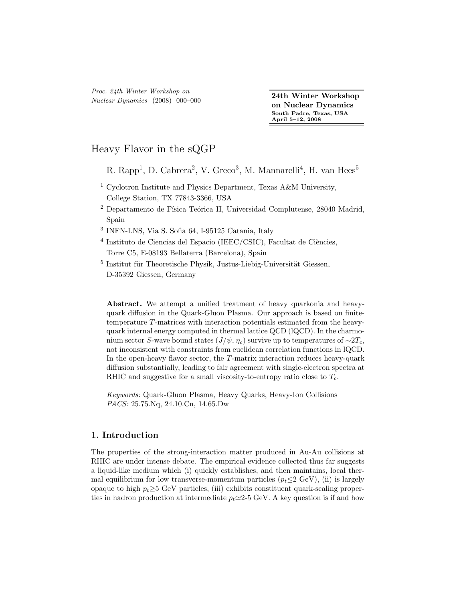Proc. 24th Winter Workshop on Nuclear Dynamics (2008) 000–000 24th Winter Workshop

on Nuclear Dynamics South Padre, Texas, USA April 5–12, 2008

# Heavy Flavor in the sQGP

R. Rapp<sup>1</sup>, D. Cabrera<sup>2</sup>, V. Greco<sup>3</sup>, M. Mannarelli<sup>4</sup>, H. van Hees<sup>5</sup>

- <sup>1</sup> Cyclotron Institute and Physics Department, Texas A&M University, College Station, TX 77843-3366, USA
- $2$  Departamento de Física Teórica II, Universidad Complutense, 28040 Madrid, Spain
- 3 INFN-LNS, Via S. Sofia 64, I-95125 Catania, Italy
- $4$  Instituto de Ciencias del Espacio (IEEC/CSIC), Facultat de Ciències, Torre C5, E-08193 Bellaterra (Barcelona), Spain
- $^5$ Institut für Theoretische Physik, Justus-Liebig-Universität Giessen, D-35392 Giessen, Germany

Abstract. We attempt a unified treatment of heavy quarkonia and heavyquark diffusion in the Quark-Gluon Plasma. Our approach is based on finitetemperature T-matrices with interaction potentials estimated from the heavyquark internal energy computed in thermal lattice QCD (lQCD). In the charmonium sector S-wave bound states  $(J/\psi, \eta_c)$  survive up to temperatures of ∼2 $T_c$ , not inconsistent with constraints from euclidean correlation functions in lQCD. In the open-heavy flavor sector, the T-matrix interaction reduces heavy-quark diffusion substantially, leading to fair agreement with single-electron spectra at RHIC and suggestive for a small viscosity-to-entropy ratio close to  $T_c$ .

Keywords: Quark-Gluon Plasma, Heavy Quarks, Heavy-Ion Collisions PACS: 25.75.Nq, 24.10.Cn, 14.65.Dw

## 1. Introduction

The properties of the strong-interaction matter produced in Au-Au collisions at RHIC are under intense debate. The empirical evidence collected thus far suggests a liquid-like medium which (i) quickly establishes, and then maintains, local thermal equilibrium for low transverse-momentum particles  $(p_t \leq 2 \text{ GeV})$ , (ii) is largely opaque to high  $p_t \geq 5$  GeV particles, (iii) exhibits constituent quark-scaling properties in hadron production at intermediate  $p_t \simeq 2-5$  GeV. A key question is if and how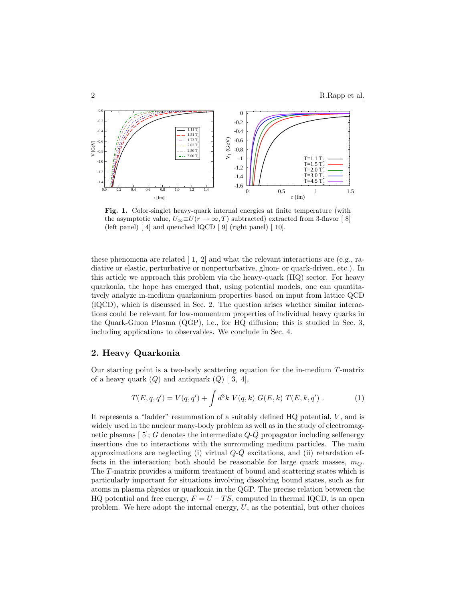

Fig. 1. Color-singlet heavy-quark internal energies at finite temperature (with the asymptotic value,  $U_{\infty} \equiv U(r \to \infty, T)$  subtracted) extracted from 3-flavor [8] (left panel) [ [4\]](#page-5-1) and quenched lQCD [ [9\]](#page-5-2) (right panel) [ [10\]](#page-5-3).

these phenomena are related  $\begin{bmatrix} 1, 2 \end{bmatrix}$  $\begin{bmatrix} 1, 2 \end{bmatrix}$  $\begin{bmatrix} 1, 2 \end{bmatrix}$  and what the relevant interactions are (e.g., radiative or elastic, perturbative or nonperturbative, gluon- or quark-driven, etc.). In this article we approach this problem via the heavy-quark (HQ) sector. For heavy quarkonia, the hope has emerged that, using potential models, one can quantitatively analyze in-medium quarkonium properties based on input from lattice QCD (lQCD), which is discussed in Sec. [2.](#page-1-0) The question arises whether similar interactions could be relevant for low-momentum properties of individual heavy quarks in the Quark-Gluon Plasma (QGP), i.e., for HQ diffusion; this is studied in Sec. [3,](#page-2-0) including applications to observables. We conclude in Sec. [4.](#page-4-0)

### <span id="page-1-0"></span>2. Heavy Quarkonia

Our starting point is a two-body scattering equation for the in-medium T-matrix of a heavy quark  $(Q)$  and antiquark  $(Q)$  [ [3,](#page-5-6) [4\]](#page-5-1),

$$
T(E, q, q') = V(q, q') + \int d^3k \ V(q, k) \ G(E, k) \ T(E, k, q') . \tag{1}
$$

<span id="page-1-1"></span>It represents a "ladder" resummation of a suitably defined  $HQ$  potential,  $V$ , and is widely used in the nuclear many-body problem as well as in the study of electromagnetic plasmas [5]; G denotes the intermediate  $Q\text{-}\bar{Q}$  propagator including selfenergy insertions due to interactions with the surrounding medium particles. The main approximations are neglecting (i) virtual  $Q\text{-}\bar{Q}$  excitations, and (ii) retardation effects in the interaction; both should be reasonable for large quark masses,  $m_Q$ . The T-matrix provides a uniform treatment of bound and scattering states which is particularly important for situations involving dissolving bound states, such as for atoms in plasma physics or quarkonia in the QGP. The precise relation between the HQ potential and free energy,  $F = U - TS$ , computed in thermal lQCD, is an open problem. We here adopt the internal energy,  $U$ , as the potential, but other choices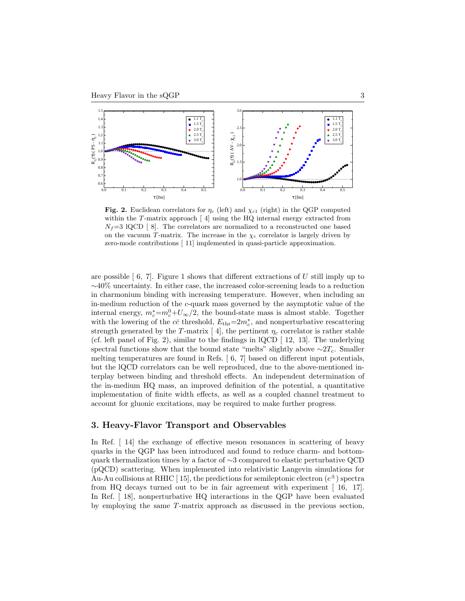

Fig. 2. Euclidean correlators for  $\eta_c$  (left) and  $\chi_{c1}$  (right) in the QGP computed within the T-matrix approach  $\lceil 4 \rceil$  using the HQ internal energy extracted from  $N_f=3$  lQCD [8]. The correlators are normalized to a reconstructed one based on the vacuum T-matrix. The increase in the  $\chi_c$  correlator is largely driven by zero-mode contributions [ [11\]](#page-5-8) implemented in quasi-particle approximation.

are possible  $\lceil 6, 7 \rceil$  $\lceil 6, 7 \rceil$  $\lceil 6, 7 \rceil$ . Figure [1](#page-1-1) shows that different extractions of U still imply up to ∼40% uncertainty. In either case, the increased color-screening leads to a reduction in charmonium binding with increasing temperature. However, when including an in-medium reduction of the c-quark mass governed by the asymptotic value of the internal energy,  $m_c^* = m_c^0 + U_\infty/2$ , the bound-state mass is almost stable. Together with the lowering of the  $c\bar{c}$  threshold,  $E_{\text{thr}}=2m_c^*$ , and nonperturbative rescattering strength generated by the T-matrix [4], the pertinent  $\eta_c$  correlator is rather stable (cf. left panel of Fig. [2\)](#page-1-1), similar to the findings in  $\text{IQCD}$  [ [12,](#page-5-11) [13\]](#page-5-12). The underlying spectral functions show that the bound state "melts" slightly above  $\sim$ 2T<sub>c</sub>. Smaller melting temperatures are found in Refs. [ [6,](#page-5-9) [7\]](#page-5-10) based on different input potentials, but the lQCD correlators can be well reproduced, due to the above-mentioned interplay between binding and threshold effects. An independent determination of the in-medium HQ mass, an improved definition of the potential, a quantitative implementation of finite width effects, as well as a coupled channel treatment to account for gluonic excitations, may be required to make further progress.

#### <span id="page-2-0"></span>3. Heavy-Flavor Transport and Observables

In Ref. [ [14\]](#page-5-13) the exchange of effective meson resonances in scattering of heavy quarks in the QGP has been introduced and found to reduce charm- and bottomquark thermalization times by a factor of ∼3 compared to elastic perturbative QCD (pQCD) scattering. When implemented into relativistic Langevin simulations for Au-Au collisions at RHIC [15], the predictions for semileptonic electron  $(e^{\pm})$  spectra from HQ decays turned out to be in fair agreement with experiment [ [16,](#page-5-15) [17\]](#page-5-16). In Ref. [ [18\]](#page-5-17), nonperturbative HQ interactions in the QGP have been evaluated by employing the same T-matrix approach as discussed in the previous section,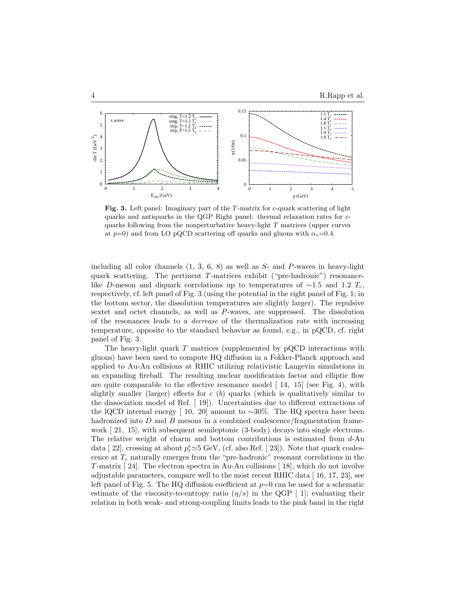

Fig. 3. Left panel: Imaginary part of the T-matrix for c-quark scattering of light quarks and antiquarks in the QGP Right panel: thermal relaxation rates for cquarks following from the nonperturbative heavy-light  $T$  matrices (upper curves at  $p=0$ ) and from LO pQCD scattering off quarks and gluons with  $\alpha_s=0.4$ .

including all color channels  $(1, 3, 6, 8)$  as well as S- and P-waves in heavy-light quark scattering. The pertinent T-matrices exhibit ("pre-hadronic") resonancelike D-meson and diquark correlations up to temperatures of  $\sim$ 1.5 and 1.2 T<sub>c</sub>, respectively, cf. left panel of Fig. [3](#page-2-0) (using the potential in the right panel of Fig. [1;](#page-1-1) in the bottom sector, the dissolution temperatures are slightly larger). The repulsive sextet and octet channels, as well as P-waves, are suppressed. The dissolution of the resonances leads to a decrease of the thermalization rate with increasing temperature, opposite to the standard behavior as found, e.g., in pQCD, cf. right panel of Fig. [3.](#page-2-0)

The heavy-light quark  $T$  matrices (supplemented by pQCD interactions with gluons) have been used to compute HQ diffusion in a Fokker-Planck approach and applied to Au-Au collisions at RHIC utilizing relativistic Langevin simulations in an expanding fireball. The resulting nuclear modification factor and elliptic flow are quite comparable to the effective resonance model  $[14, 15]$  $[14, 15]$  (see Fig. [4\)](#page-2-0), with slightly smaller (larger) effects for  $c(b)$  quarks (which is qualitatively similar to the dissociation model of Ref. [ [19\]](#page-5-18)). Uncertainties due to different extractions of the lQCD internal energy [ [10,](#page-5-3) [20\]](#page-5-19) amount to ~30%. The HQ spectra have been hadronized into  $D$  and  $B$  mesons in a combined coalescence/fragmentation framework [ [21,](#page-6-0) [15\]](#page-5-14), with subsequent semileptonic (3-body) decays into single electrons. The relative weight of charm and bottom contributions is estimated from  $d$ -Au data [22], crossing at about  $p_t^e \simeq 5$  GeV, (cf. also Ref. [23]). Note that quark coalescence at  $T_c$  naturally emerges from the "pre-hadronic" resonant correlations in the T-matrix [ [24\]](#page-6-3). The electron spectra in Au-Au collisions [ [18\]](#page-5-17), which do not involve adjustable parameters, compare well to the most recent RHIC data [ [16,](#page-5-15) [17,](#page-5-16) [23\]](#page-6-2), see left panel of Fig. [5.](#page-2-0) The HQ diffusion coefficient at  $p=0$  can be used for a schematic estimate of the viscosity-to-entropy ratio  $(\eta/s)$  in the QGP [1]; evaluating their relation in both weak- and strong-coupling limits leads to the pink band in the right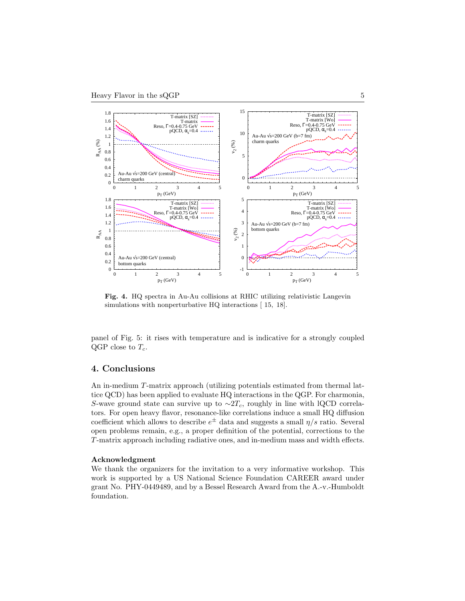

Fig. 4. HQ spectra in Au-Au collisions at RHIC utilizing relativistic Langevin simulations with nonperturbative HQ interactions [15, [18\]](#page-5-17).

panel of Fig. [5:](#page-2-0) it rises with temperature and is indicative for a strongly coupled QGP close to  $T_c$ .

## <span id="page-4-0"></span>4. Conclusions

An in-medium T-matrix approach (utilizing potentials estimated from thermal lattice QCD) has been applied to evaluate HQ interactions in the QGP. For charmonia, S-wave ground state can survive up to  $\sim 2T_c$ , roughly in line with lQCD correlators. For open heavy flavor, resonance-like correlations induce a small HQ diffusion coefficient which allows to describe  $e^{\pm}$  data and suggests a small  $\eta/s$  ratio. Several open problems remain, e.g., a proper definition of the potential, corrections to the T-matrix approach including radiative ones, and in-medium mass and width effects.

#### Acknowledgment

We thank the organizers for the invitation to a very informative workshop. This work is supported by a US National Science Foundation CAREER award under grant No. PHY-0449489, and by a Bessel Research Award from the A.-v.-Humboldt foundation.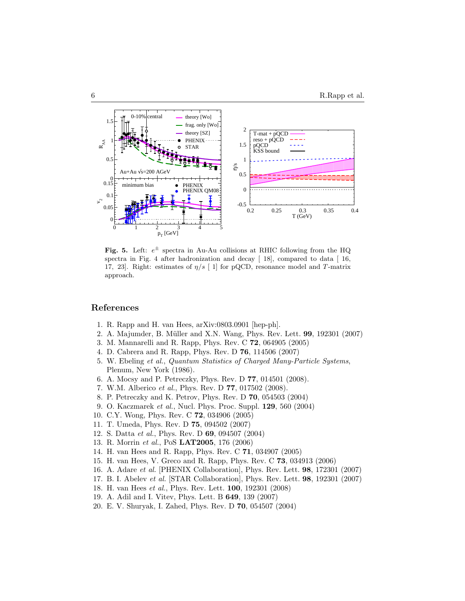

Fig. 5. Left:  $e^{\pm}$  spectra in Au-Au collisions at RHIC following from the HQ spectra in Fig. [4](#page-2-0) after hadronization and decay  $[18]$ , compared to data  $[16]$ , [17,](#page-5-16) [23\]](#page-6-2). Right: estimates of  $\eta/s$  [ [1\]](#page-5-4) for pQCD, resonance model and T-matrix approach.

#### <span id="page-5-5"></span><span id="page-5-4"></span>References

- 1. R. Rapp and H. van Hees, arXiv:0803.0901 [hep-ph].
- <span id="page-5-6"></span>2. A. Majumder, B. Müller and X.N. Wang, Phys. Rev. Lett. **99**, 192301 (2007)
- <span id="page-5-1"></span>3. M. Mannarelli and R. Rapp, Phys. Rev. C 72, 064905 (2005)
- <span id="page-5-7"></span>4. D. Cabrera and R. Rapp, Phys. Rev. D 76, 114506 (2007)
- 5. W. Ebeling et al., Quantum Statistics of Charged Many-Particle Systems, Plenum, New York (1986).
- <span id="page-5-10"></span><span id="page-5-9"></span>6. A. Mocsy and P. Petreczky, Phys. Rev. D 77, 014501 (2008).
- 7. W.M. Alberico et al., Phys. Rev. D 77, 017502 (2008).
- <span id="page-5-0"></span>8. P. Petreczky and K. Petrov, Phys. Rev. D 70, 054503 (2004)
- 9. O. Kaczmarek et al., Nucl. Phys. Proc. Suppl. 129, 560 (2004)
- <span id="page-5-8"></span><span id="page-5-3"></span><span id="page-5-2"></span>10. C.Y. Wong, Phys. Rev. C 72, 034906 (2005)
- <span id="page-5-11"></span>11. T. Umeda, Phys. Rev. D 75, 094502 (2007)
- <span id="page-5-12"></span>12. S. Datta et al., Phys. Rev. D 69, 094507 (2004)
- <span id="page-5-13"></span>13. R. Morrin et al., PoS LAT2005, 176 (2006)
- <span id="page-5-14"></span>14. H. van Hees and R. Rapp, Phys. Rev. C 71, 034907 (2005)
- <span id="page-5-15"></span>15. H. van Hees, V. Greco and R. Rapp, Phys. Rev. C 73, 034913 (2006)
- <span id="page-5-16"></span>16. A. Adare et al. [PHENIX Collaboration], Phys. Rev. Lett. 98, 172301 (2007)
- <span id="page-5-17"></span>17. B. I. Abelev et al. [STAR Collaboration], Phys. Rev. Lett. 98, 192301 (2007)
- <span id="page-5-18"></span>18. H. van Hees et al., Phys. Rev. Lett. 100, 192301 (2008)
- <span id="page-5-19"></span>19. A. Adil and I. Vitev, Phys. Lett. B 649, 139 (2007)
- 20. E. V. Shuryak, I. Zahed, Phys. Rev. D 70, 054507 (2004)